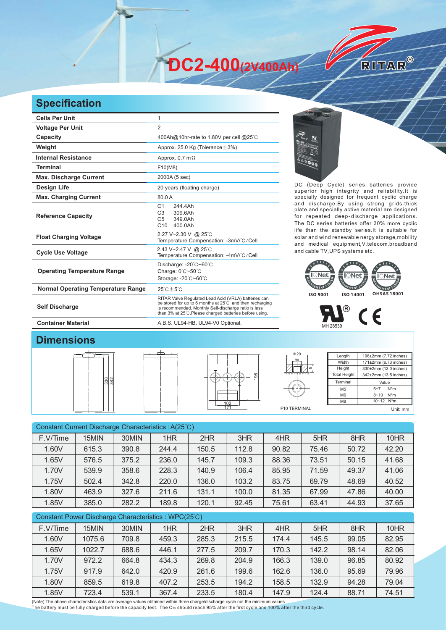**DC2-400(2V400Ah)** 

## **Specification**

| <b>Cells Per Unit</b>                     |                                                                                                                                                                                                                                                                                                      |                                                                                                                                                      |  |  |  |  |
|-------------------------------------------|------------------------------------------------------------------------------------------------------------------------------------------------------------------------------------------------------------------------------------------------------------------------------------------------------|------------------------------------------------------------------------------------------------------------------------------------------------------|--|--|--|--|
| <b>Voltage Per Unit</b>                   | $\overline{2}$                                                                                                                                                                                                                                                                                       |                                                                                                                                                      |  |  |  |  |
| Capacity                                  | 400Ah@10hr-rate to 1.80V per cell @25°C                                                                                                                                                                                                                                                              |                                                                                                                                                      |  |  |  |  |
| Weight                                    | Approx. 25.0 Kg (Tolerance $\pm$ 3%)                                                                                                                                                                                                                                                                 |                                                                                                                                                      |  |  |  |  |
| <b>Internal Resistance</b>                | Approx. $0.7$ m $\Omega$                                                                                                                                                                                                                                                                             |                                                                                                                                                      |  |  |  |  |
| <b>Terminal</b>                           | F10(M8)                                                                                                                                                                                                                                                                                              |                                                                                                                                                      |  |  |  |  |
| <b>Max. Discharge Current</b>             | 2000A (5 sec)                                                                                                                                                                                                                                                                                        |                                                                                                                                                      |  |  |  |  |
| <b>Design Life</b>                        | 20 years (floating charge)                                                                                                                                                                                                                                                                           | DC (Deep Cycle) series batteries provide<br>superior high integrity and reliability. It is                                                           |  |  |  |  |
| <b>Max. Charging Current</b>              | 80.0A                                                                                                                                                                                                                                                                                                | specially designed for frequent cyclic charge                                                                                                        |  |  |  |  |
| <b>Reference Capacity</b>                 | and discharge.By using strong grids, thick<br>244.4Ah<br>C <sub>1</sub><br>plate and specially active material are designed<br>C <sub>3</sub><br>309.6Ah<br>for repeated deep-discharge applications<br>C <sub>5</sub><br>349.0Ah<br>The DC series batteries offer 30% more cyclic<br>C10<br>400.0Ah |                                                                                                                                                      |  |  |  |  |
| <b>Float Charging Voltage</b>             | 2.27 V~2.30 V @ 25°C<br>Temperature Compensation: -3mV/°C/Cell                                                                                                                                                                                                                                       | life than the standby series. It is suitable for<br>solar and wind renewable nergy storage, mobility<br>and medical equipment, V, telecom, broadband |  |  |  |  |
| <b>Cycle Use Voltage</b>                  | 2.43 V~2.47 V @ 25°C<br>Temperature Compensation: -4mV/°C/Cell                                                                                                                                                                                                                                       | and cable TV, UPS systems etc.                                                                                                                       |  |  |  |  |
| <b>Operating Temperature Range</b>        | Discharge: -20°C~60°C<br>Charge: $0^{\circ}$ C $\sim$ 50 $^{\circ}$ C<br>Storage: -20°C~60°C                                                                                                                                                                                                         | Net<br><b>IQNet</b><br>l Net                                                                                                                         |  |  |  |  |
| <b>Normal Operating Temperature Range</b> | $25^{\circ}$ C $\pm 5^{\circ}$ C                                                                                                                                                                                                                                                                     |                                                                                                                                                      |  |  |  |  |
| <b>Self Discharge</b>                     | RITAR Valve Regulated Lead Acid (VRLA) batteries can<br>be stored for up to 6 months at 25°C and then recharging<br>is recommended. Monthly Self-discharge ratio is less<br>than 3% at 25°C. Please charged batteries before using.                                                                  | <b>OHSAS 18001</b><br><b>ISO 9001</b><br>ISO 14001                                                                                                   |  |  |  |  |
| <b>Container Material</b>                 | A.B.S. UL94-HB, UL94-V0 Optional.                                                                                                                                                                                                                                                                    |                                                                                                                                                      |  |  |  |  |



RITAR®





## **Dimensions**







| Length              | 196±2mm (7.72 inches)          |  |  |  |
|---------------------|--------------------------------|--|--|--|
| Width               | 171±2mm (6.73 inches)          |  |  |  |
| Height              | 330±2mm (13.0 inches)          |  |  |  |
| <b>Total Height</b> | 342±2mm (13.5 inches)<br>Value |  |  |  |
| Terminal            |                                |  |  |  |
| M <sub>5</sub>      | $N^*m$<br>$6 - 7$              |  |  |  |
| M6                  | $8 - 10$ N <sup>*</sup> m      |  |  |  |
| M <sub>8</sub>      | $10 - 12$ N <sup>*</sup> m     |  |  |  |
|                     | Unit: mm                       |  |  |  |

Constant Current Discharge Characteristics : A(25℃) F.V/Time | 15MIN | 30MIN | 1HR | 2HR | 3HR | 4HR | 5HR | 8HR | 10HR 1.60V 615.3 390.8 244.4 150.5 112.8 90.82 75.46 50.72 42.20 1.65V | 576.5 | 375.2 | 236.0 | 145.7 | 109.3 | 88.36 | 73.51 | 50.15 | 41.68 1.70V 539.9 358.6 228.3 140.9 106.4 85.95 71.59 49.37 41.06 1.75V | 502.4 | 342.8 | 220.0 | 136.0 | 103.2 | 83.75 | 69.79 | 48.69 | 40.52 1.80V 463.9 327.6 211.6 131.1 100.0 81.35 67.99 47.86 40.00 1.85V 385.0 282.2 189.8 120.1 92.45 75.61 63.41 44.93 37.65

| Constant Power Discharge Characteristics : WPC(25°C) |          |        |       |       |       |       |       |       |       |       |
|------------------------------------------------------|----------|--------|-------|-------|-------|-------|-------|-------|-------|-------|
|                                                      | F.V/Time | 15MIN  | 30MIN | 1HR   | 2HR   | 3HR   | 4HR   | 5HR   | 8HR   | 10HR  |
|                                                      | 1.60V    | 1075.6 | 709.8 | 459.3 | 285.3 | 215.5 | 174.4 | 145.5 | 99.05 | 82.95 |
|                                                      | 1.65V    | 1022.7 | 688.6 | 446.1 | 277.5 | 209.7 | 170.3 | 142.2 | 98.14 | 82.06 |
|                                                      | 1.70V    | 972.2  | 664.8 | 434.3 | 269.8 | 204.9 | 166.3 | 139.0 | 96.85 | 80.92 |
|                                                      | 1.75V    | 917.9  | 642.0 | 420.9 | 261.6 | 199.6 | 162.6 | 136.0 | 95.69 | 79.96 |
|                                                      | 1.80V    | 859.5  | 619.8 | 407.2 | 253.5 | 194.2 | 158.5 | 132.9 | 94.28 | 79.04 |
|                                                      | 1.85V    | 723.4  | 539.1 | 367.4 | 233.5 | 180.4 | 147.9 | 124.4 | 88.71 | 74.51 |

(Note) The above characteristics data are average values obtained within three charge/discharge cycle not the minimum values.<br>The battery must be fully charged before the capacity test. The C10 should reach 95% after the